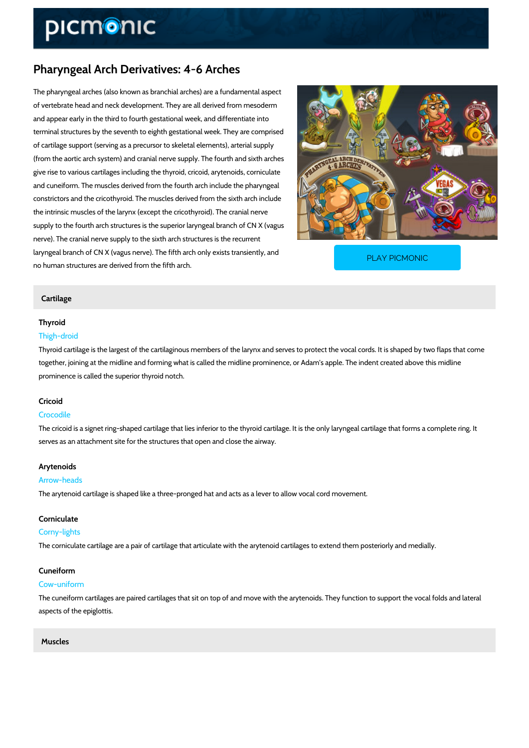# Pharyngeal Arch Derivatives: 4-6 Arches

The pharyngeal arches (also known as branchial arches) are a fundamental aspect of vertebrate head and neck development. They are all derived from mesoderm and appear early in the third to fourth gestational week, and differentiate into terminal structures by the seventh to eighth gestational week. They are comprised of cartilage support (serving as a precursor to skeletal elements), arterial supply (from the aortic arch system) and cranial nerve supply. The fourth and sixth arches give rise to various cartilages including the thyroid, cricoid, arytenoids, corniculate and cuneiform. The muscles derived from the fourth arch include the pharyngeal constrictors and the cricothyroid. The muscles derived from the sixth arch include the intrinsic muscles of the larynx (except the cricothyroid). The cranial nerve supply to the fourth arch structures is the superior laryngeal branch of CN X (vagus nerve). The cranial nerve supply to the sixth arch structures is the recurrent laryngeal branch of CN  $X$  (vagus nerve). The fifth arch on no human structures are derived from the fifth arch. PLAY PICMONIC

#### Cartilage

#### Thyroid

#### Thigh-droid

Thyroid cartilage is the largest of the cartilaginous members of the larynx and serves to prote together, joining at the midline and forming what is called the midline prominence, or Adam's prominence is called the superior thyroid notch.

#### Cricoid

#### Crocodile

The cricoid is a signet ring-shaped cartilage that lies inferior to the thyroid cartilage. It is th serves as an attachment site for the structures that open and close the airway.

#### Arytenoids

#### Arrow-heads

The arytenoid cartilage is shaped like a three-pronged hat and acts as a lever to allow vocal

#### Corniculate

#### Corny-lights

The corniculate cartilage are a pair of cartilage that articulate with the arytenoid cartilages t

#### Cuneiform

#### Cow-uniform

The cuneiform cartilages are paired cartilages that sit on top of and move with the arytenoids aspects of the epiglottis.

## Muscles